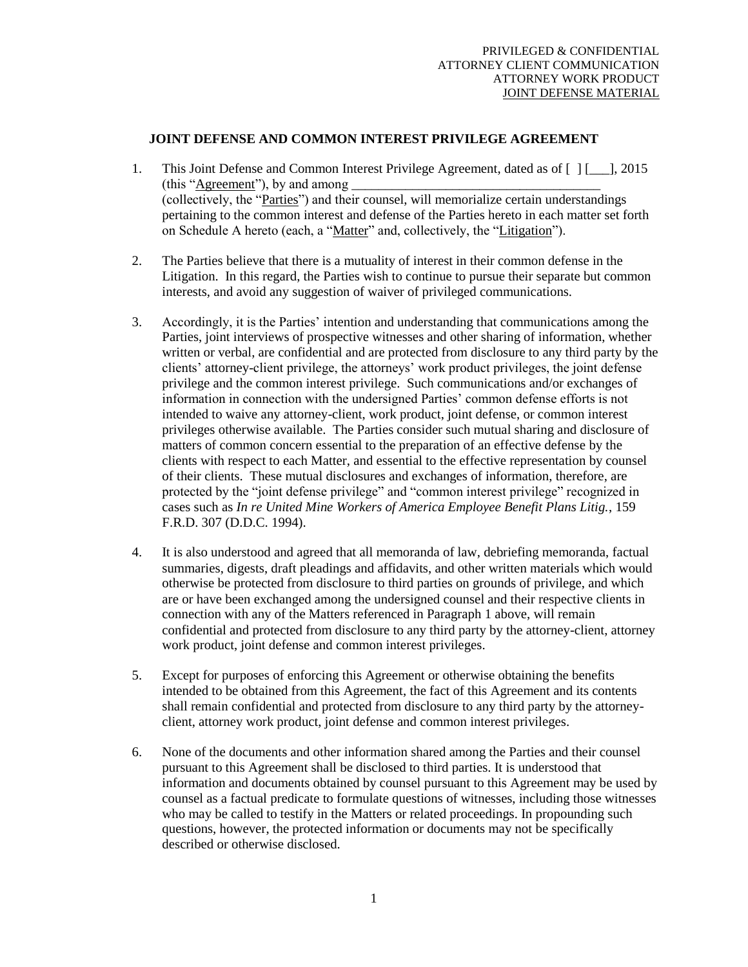## **JOINT DEFENSE AND COMMON INTEREST PRIVILEGE AGREEMENT**

- 1. This Joint Defense and Common Interest Privilege Agreement, dated as of  $\lceil 1 \rceil$  1, 2015 (this "Agreement"), by and among \_\_\_\_\_\_\_\_\_\_\_\_\_\_\_\_\_\_\_\_\_\_\_\_\_\_\_\_\_\_\_\_\_\_\_\_\_ (collectively, the "Parties") and their counsel, will memorialize certain understandings pertaining to the common interest and defense of the Parties hereto in each matter set forth on Schedule A hereto (each, a "Matter" and, collectively, the "Litigation").
- 2. The Parties believe that there is a mutuality of interest in their common defense in the Litigation. In this regard, the Parties wish to continue to pursue their separate but common interests, and avoid any suggestion of waiver of privileged communications.
- 3. Accordingly, it is the Parties' intention and understanding that communications among the Parties, joint interviews of prospective witnesses and other sharing of information, whether written or verbal, are confidential and are protected from disclosure to any third party by the clients' attorney-client privilege, the attorneys' work product privileges, the joint defense privilege and the common interest privilege. Such communications and/or exchanges of information in connection with the undersigned Parties' common defense efforts is not intended to waive any attorney-client, work product, joint defense, or common interest privileges otherwise available. The Parties consider such mutual sharing and disclosure of matters of common concern essential to the preparation of an effective defense by the clients with respect to each Matter, and essential to the effective representation by counsel of their clients. These mutual disclosures and exchanges of information, therefore, are protected by the "joint defense privilege" and "common interest privilege" recognized in cases such as *In re United Mine Workers of America Employee Benefit Plans Litig.*, 159 F.R.D. 307 (D.D.C. 1994).
- 4. It is also understood and agreed that all memoranda of law, debriefing memoranda, factual summaries, digests, draft pleadings and affidavits, and other written materials which would otherwise be protected from disclosure to third parties on grounds of privilege, and which are or have been exchanged among the undersigned counsel and their respective clients in connection with any of the Matters referenced in Paragraph 1 above, will remain confidential and protected from disclosure to any third party by the attorney-client, attorney work product, joint defense and common interest privileges.
- 5. Except for purposes of enforcing this Agreement or otherwise obtaining the benefits intended to be obtained from this Agreement, the fact of this Agreement and its contents shall remain confidential and protected from disclosure to any third party by the attorneyclient, attorney work product, joint defense and common interest privileges.
- 6. None of the documents and other information shared among the Parties and their counsel pursuant to this Agreement shall be disclosed to third parties. It is understood that information and documents obtained by counsel pursuant to this Agreement may be used by counsel as a factual predicate to formulate questions of witnesses, including those witnesses who may be called to testify in the Matters or related proceedings. In propounding such questions, however, the protected information or documents may not be specifically described or otherwise disclosed.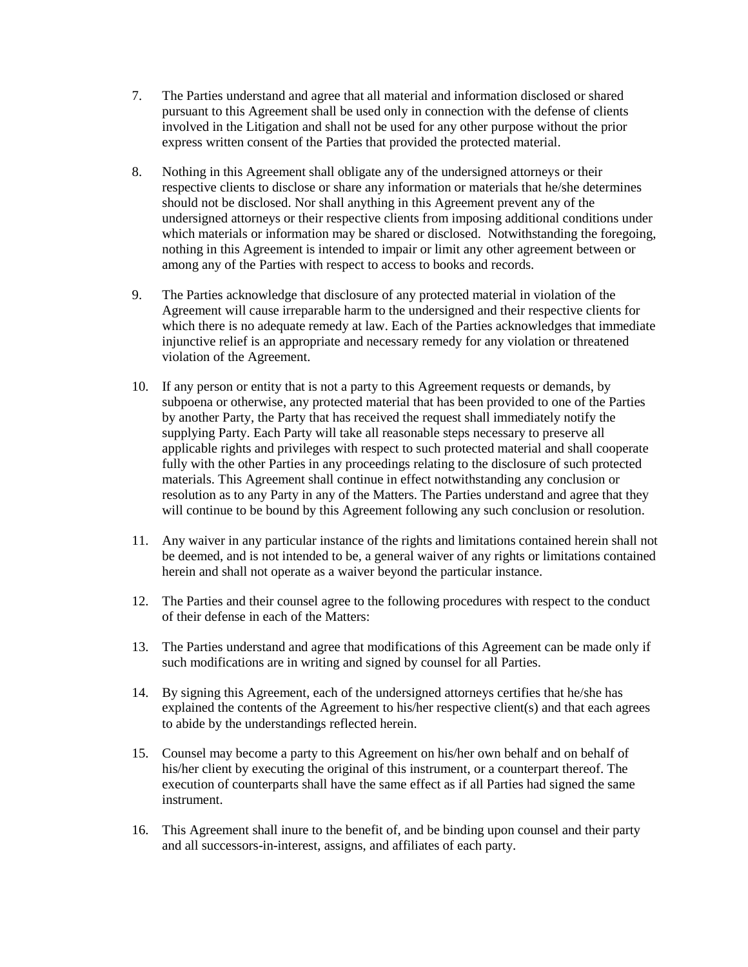- 7. The Parties understand and agree that all material and information disclosed or shared pursuant to this Agreement shall be used only in connection with the defense of clients involved in the Litigation and shall not be used for any other purpose without the prior express written consent of the Parties that provided the protected material.
- 8. Nothing in this Agreement shall obligate any of the undersigned attorneys or their respective clients to disclose or share any information or materials that he/she determines should not be disclosed. Nor shall anything in this Agreement prevent any of the undersigned attorneys or their respective clients from imposing additional conditions under which materials or information may be shared or disclosed. Notwithstanding the foregoing, nothing in this Agreement is intended to impair or limit any other agreement between or among any of the Parties with respect to access to books and records.
- 9. The Parties acknowledge that disclosure of any protected material in violation of the Agreement will cause irreparable harm to the undersigned and their respective clients for which there is no adequate remedy at law. Each of the Parties acknowledges that immediate injunctive relief is an appropriate and necessary remedy for any violation or threatened violation of the Agreement.
- 10. If any person or entity that is not a party to this Agreement requests or demands, by subpoena or otherwise, any protected material that has been provided to one of the Parties by another Party, the Party that has received the request shall immediately notify the supplying Party. Each Party will take all reasonable steps necessary to preserve all applicable rights and privileges with respect to such protected material and shall cooperate fully with the other Parties in any proceedings relating to the disclosure of such protected materials. This Agreement shall continue in effect notwithstanding any conclusion or resolution as to any Party in any of the Matters. The Parties understand and agree that they will continue to be bound by this Agreement following any such conclusion or resolution.
- 11. Any waiver in any particular instance of the rights and limitations contained herein shall not be deemed, and is not intended to be, a general waiver of any rights or limitations contained herein and shall not operate as a waiver beyond the particular instance.
- 12. The Parties and their counsel agree to the following procedures with respect to the conduct of their defense in each of the Matters:
- 13. The Parties understand and agree that modifications of this Agreement can be made only if such modifications are in writing and signed by counsel for all Parties.
- 14. By signing this Agreement, each of the undersigned attorneys certifies that he/she has explained the contents of the Agreement to his/her respective client(s) and that each agrees to abide by the understandings reflected herein.
- 15. Counsel may become a party to this Agreement on his/her own behalf and on behalf of his/her client by executing the original of this instrument, or a counterpart thereof. The execution of counterparts shall have the same effect as if all Parties had signed the same instrument.
- 16. This Agreement shall inure to the benefit of, and be binding upon counsel and their party and all successors-in-interest, assigns, and affiliates of each party.